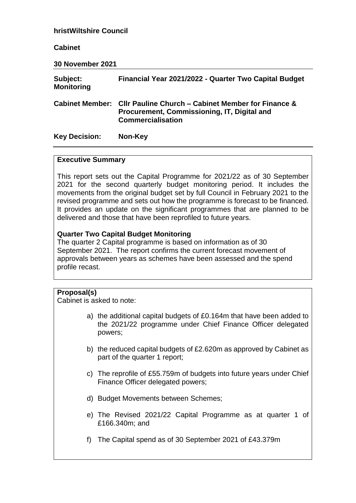#### **hristWiltshire Council**

#### **Cabinet**

**30 November 2021**

| Subject:<br><b>Monitoring</b> | Financial Year 2021/2022 - Quarter Two Capital Budget                                                                                         |
|-------------------------------|-----------------------------------------------------------------------------------------------------------------------------------------------|
|                               | Cabinet Member: Cllr Pauline Church – Cabinet Member for Finance &<br>Procurement, Commissioning, IT, Digital and<br><b>Commercialisation</b> |
| <b>Key Decision:</b>          | Non-Key                                                                                                                                       |

#### **Executive Summary**

This report sets out the Capital Programme for 2021/22 as of 30 September 2021 for the second quarterly budget monitoring period. It includes the movements from the original budget set by full Council in February 2021 to the revised programme and sets out how the programme is forecast to be financed. It provides an update on the significant programmes that are planned to be delivered and those that have been reprofiled to future years.

## **Quarter Two Capital Budget Monitoring**

The quarter 2 Capital programme is based on information as of 30 September 2021. The report confirms the current forecast movement of approvals between years as schemes have been assessed and the spend profile recast.

## **Proposal(s)**

Cabinet is asked to note:

- a) the additional capital budgets of £0.164m that have been added to the 2021/22 programme under Chief Finance Officer delegated powers;
- b) the reduced capital budgets of £2.620m as approved by Cabinet as part of the quarter 1 report;
- c) The reprofile of £55.759m of budgets into future years under Chief Finance Officer delegated powers;
- d) Budget Movements between Schemes;
- e) The Revised 2021/22 Capital Programme as at quarter 1 of £166.340m; and
- f) The Capital spend as of 30 September 2021 of £43.379m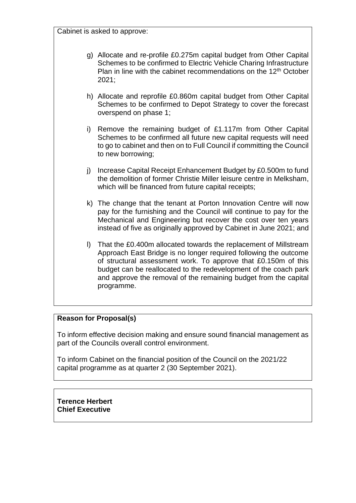Cabinet is asked to approve:

- g) Allocate and re-profile £0.275m capital budget from Other Capital Schemes to be confirmed to Electric Vehicle Charing Infrastructure Plan in line with the cabinet recommendations on the 12<sup>th</sup> October 2021;
- h) Allocate and reprofile £0.860m capital budget from Other Capital Schemes to be confirmed to Depot Strategy to cover the forecast overspend on phase 1;
- i) Remove the remaining budget of £1.117m from Other Capital Schemes to be confirmed all future new capital requests will need to go to cabinet and then on to Full Council if committing the Council to new borrowing;
- j) Increase Capital Receipt Enhancement Budget by £0.500m to fund the demolition of former Christie Miller leisure centre in Melksham, which will be financed from future capital receipts;
- k) The change that the tenant at Porton Innovation Centre will now pay for the furnishing and the Council will continue to pay for the Mechanical and Engineering but recover the cost over ten years instead of five as originally approved by Cabinet in June 2021; and
- l) That the £0.400m allocated towards the replacement of Millstream Approach East Bridge is no longer required following the outcome of structural assessment work. To approve that £0.150m of this budget can be reallocated to the redevelopment of the coach park and approve the removal of the remaining budget from the capital programme.

## **Reason for Proposal(s)**

To inform effective decision making and ensure sound financial management as part of the Councils overall control environment.

To inform Cabinet on the financial position of the Council on the 2021/22 capital programme as at quarter 2 (30 September 2021).

**Terence Herbert Chief Executive**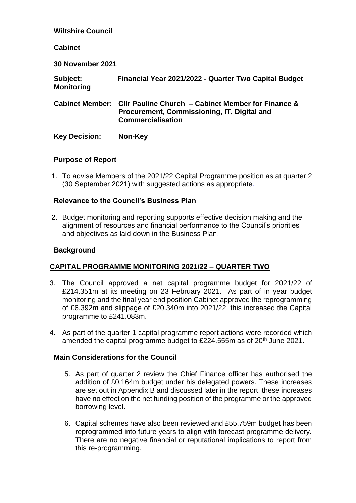# **Wiltshire Council Cabinet 30 November 2021 Subject: Financial Year 2021/2022 - Quarter Two Capital Budget Monitoring Cabinet Member: Cllr Pauline Church – Cabinet Member for Finance & Procurement, Commissioning, IT, Digital and Commercialisation Key Decision: Non-Key**

# **Purpose of Report**

1. To advise Members of the 2021/22 Capital Programme position as at quarter 2 (30 September 2021) with suggested actions as appropriate.

# **Relevance to the Council's Business Plan**

2. Budget monitoring and reporting supports effective decision making and the alignment of resources and financial performance to the Council's priorities and objectives as laid down in the Business Plan.

## **Background**

# **CAPITAL PROGRAMME MONITORING 2021/22 – QUARTER TWO**

- 3. The Council approved a net capital programme budget for 2021/22 of £214.351m at its meeting on 23 February 2021. As part of in year budget monitoring and the final year end position Cabinet approved the reprogramming of £6.392m and slippage of £20.340m into 2021/22, this increased the Capital programme to £241.083m.
- 4. As part of the quarter 1 capital programme report actions were recorded which amended the capital programme budget to £224.555m as of 20<sup>th</sup> June 2021.

## **Main Considerations for the Council**

- 5. As part of quarter 2 review the Chief Finance officer has authorised the addition of £0.164m budget under his delegated powers. These increases are set out in Appendix B and discussed later in the report, these increases have no effect on the net funding position of the programme or the approved borrowing level.
- 6. Capital schemes have also been reviewed and £55.759m budget has been reprogrammed into future years to align with forecast programme delivery. There are no negative financial or reputational implications to report from this re-programming.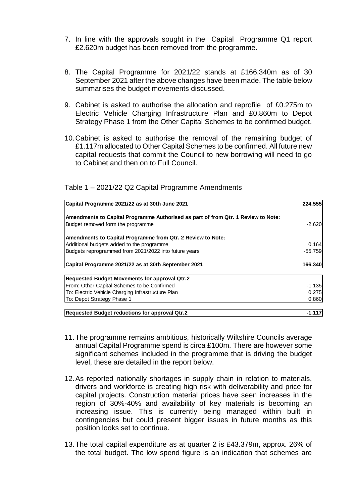- 7. In line with the approvals sought in the Capital Programme Q1 report £2.620m budget has been removed from the programme.
- 8. The Capital Programme for 2021/22 stands at £166.340m as of 30 September 2021 after the above changes have been made. The table below summarises the budget movements discussed.
- 9. Cabinet is asked to authorise the allocation and reprofile of £0.275m to Electric Vehicle Charging Infrastructure Plan and £0.860m to Depot Strategy Phase 1 from the Other Capital Schemes to be confirmed budget.
- 10.Cabinet is asked to authorise the removal of the remaining budget of £1.117m allocated to Other Capital Schemes to be confirmed. All future new capital requests that commit the Council to new borrowing will need to go to Cabinet and then on to Full Council.

| Table 1 - 2021/22 Q2 Capital Programme Amendments |
|---------------------------------------------------|
|---------------------------------------------------|

| Capital Programme 2021/22 as at 30th June 2021                                    | 224.555   |
|-----------------------------------------------------------------------------------|-----------|
| Amendments to Capital Programme Authorised as part of from Qtr. 1 Review to Note: |           |
| Budget removed form the programme                                                 | $-2.620$  |
| Amendments to Capital Programme from Qtr. 2 Review to Note:                       |           |
| Additional budgets added to the programme                                         | 0.164     |
| Budgets reprogrammed from 2021/2022 into future years                             | $-55.759$ |
| Capital Programme 2021/22 as at 30th September 2021                               | 166.340   |
| <b>Requested Budget Movements for approval Qtr.2</b>                              |           |
| From: Other Capital Schemes to be Confirmed                                       | $-1.135$  |
| To: Electric Vehicle Charging Infrastructure Plan                                 | 0.275     |
| To: Depot Strategy Phase 1                                                        | 0.860     |
| Requested Budget reductions for approval Qtr.2                                    | -1.117    |

- 11.The programme remains ambitious, historically Wiltshire Councils average annual Capital Programme spend is circa £100m. There are however some significant schemes included in the programme that is driving the budget level, these are detailed in the report below.
- 12.As reported nationally shortages in supply chain in relation to materials, drivers and workforce is creating high risk with deliverability and price for capital projects. Construction material prices have seen increases in the region of 30%-40% and availability of key materials is becoming an increasing issue. This is currently being managed within built in contingencies but could present bigger issues in future months as this position looks set to continue.
- 13.The total capital expenditure as at quarter 2 is £43.379m, approx. 26% of the total budget. The low spend figure is an indication that schemes are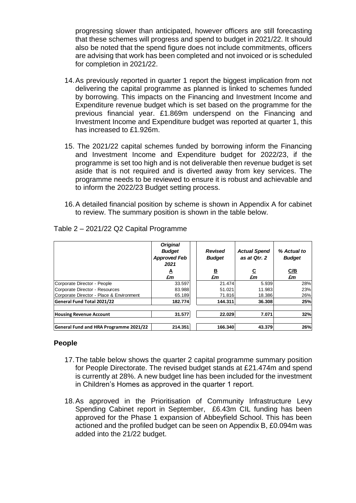progressing slower than anticipated, however officers are still forecasting that these schemes will progress and spend to budget in 2021/22. It should also be noted that the spend figure does not include commitments, officers are advising that work has been completed and not invoiced or is scheduled for completion in 2021/22.

- 14.As previously reported in quarter 1 report the biggest implication from not delivering the capital programme as planned is linked to schemes funded by borrowing. This impacts on the Financing and Investment Income and Expenditure revenue budget which is set based on the programme for the previous financial year. £1.869m underspend on the Financing and Investment Income and Expenditure budget was reported at quarter 1, this has increased to £1.926m.
- 15. The 2021/22 capital schemes funded by borrowing inform the Financing and Investment Income and Expenditure budget for 2022/23, if the programme is set too high and is not deliverable then revenue budget is set aside that is not required and is diverted away from key services. The programme needs to be reviewed to ensure it is robust and achievable and to inform the 2022/23 Budget setting process.
- 16.A detailed financial position by scheme is shown in Appendix A for cabinet to review. The summary position is shown in the table below.

|                                          | <b>Original</b><br><b>Budget</b><br><b>Approved Feb</b><br>2021 | <b>Revised</b><br><b>Budget</b> | <b>Actual Spend</b><br>as at Qtr. 2 | % Actual to<br><b>Budget</b> |
|------------------------------------------|-----------------------------------------------------------------|---------------------------------|-------------------------------------|------------------------------|
|                                          | A                                                               | <u>B</u>                        | <u>c</u>                            | C/B                          |
|                                          | £m                                                              | £m                              | £m                                  | £m                           |
| Corporate Director - People              | 33.597                                                          | 21.474                          | 5.939                               | 28%                          |
| Corporate Director - Resources           | 83.988                                                          | 51.021                          | 11.983                              | 23%                          |
| Corporate Director - Place & Environment | 65.189                                                          | 71.816                          | 18.386                              | 26%                          |
| General Fund Total 2021/22               | 182.774                                                         | 144.311                         | 36.308                              | 25%                          |
| <b>Housing Revenue Account</b>           | 31.577                                                          | 22.029                          | 7.071                               | 32%                          |
| General Fund and HRA Programme 2021/22   | 214.351                                                         | 166.340                         | 43.379                              | 26%                          |

Table 2 – 2021/22 Q2 Capital Programme

## **People**

- 17.The table below shows the quarter 2 capital programme summary position for People Directorate. The revised budget stands at £21.474m and spend is currently at 28%. A new budget line has been included for the investment in Children's Homes as approved in the quarter 1 report.
- 18.As approved in the Prioritisation of Community Infrastructure Levy Spending Cabinet report in September, £6.43m CIL funding has been approved for the Phase 1 expansion of Abbeyfield School. This has been actioned and the profiled budget can be seen on Appendix B, £0.094m was added into the 21/22 budget.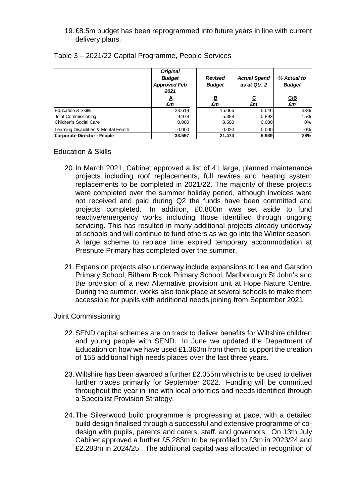19.£8.5m budget has been reprogrammed into future years in line with current delivery plans.

|                                       | <b>Original</b><br><b>Budget</b><br><b>Approved Feb</b><br>2021<br>A<br>£m | Revised<br><b>Budget</b><br>B<br>£m | <b>Actual Spend</b><br>as at Qtr. 2<br><u>c</u><br>£m | % Actual to<br><b>Budget</b><br><u>C/B</u><br>£m |
|---------------------------------------|----------------------------------------------------------------------------|-------------------------------------|-------------------------------------------------------|--------------------------------------------------|
|                                       |                                                                            |                                     |                                                       |                                                  |
| <b>Education &amp; Skills</b>         | 23.619                                                                     | 15.066                              | 5.046                                                 | 33%                                              |
| Joint Commissioning                   | 9.978                                                                      | 5.888                               | 0.893                                                 | 15%                                              |
| Children's Social Care                | 0.000                                                                      | 0.500                               | 0.000                                                 | 0%                                               |
| Learning Disabilities & Mental Health | 0.000                                                                      | 0.020                               | 0.000                                                 | 0%                                               |
| Corporate Director - People           | 33.597                                                                     | 21.474                              | 5.939                                                 | 28%                                              |

Table 3 – 2021/22 Capital Programme, People Services

Education & Skills

- 20.In March 2021, Cabinet approved a list of 41 large, planned maintenance projects including roof replacements, full rewires and heating system replacements to be completed in 2021/22. The majority of these projects were completed over the summer holiday period, although invoices were not received and paid during Q2 the funds have been committed and projects completed. In addition, £0.800m was set aside to fund reactive/emergency works including those identified through ongoing servicing. This has resulted in many additional projects already underway at schools and will continue to fund others as we go into the Winter season. A large scheme to replace time expired temporary accommodation at Preshute Primary has completed over the summer.
- 21.Expansion projects also underway include expansions to Lea and Garsdon Primary School, Bitham Brook Primary School, Marlborough St John's and the provision of a new Alternative provision unit at Hope Nature Centre. During the summer, works also took place at several schools to make them accessible for pupils with additional needs joining from September 2021.

Joint Commissioning

- 22.SEND capital schemes are on track to deliver benefits for Wiltshire children and young people with SEND. In June we updated the Department of Education on how we have used £1.360m from them to support the creation of 155 additional high needs places over the last three years.
- 23.Wiltshire has been awarded a further £2.055m which is to be used to deliver further places primarily for September 2022. Funding will be committed throughout the year in line with local priorities and needs identified through a Specialist Provision Strategy.
- 24.The Silverwood build programme is progressing at pace, with a detailed build design finalised through a successful and extensive programme of codesign with pupils, parents and carers, staff, and governors. On 13th July Cabinet approved a further £5.283m to be reprofiled to £3m in 2023/24 and £2.283m in 2024/25. The additional capital was allocated in recognition of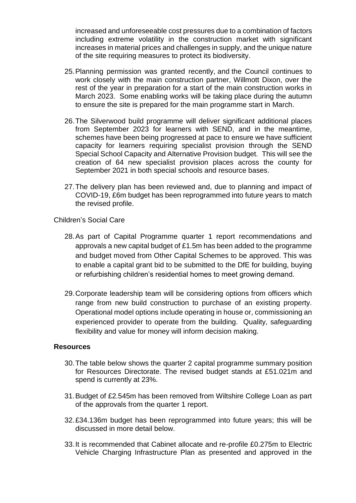increased and unforeseeable cost pressures due to a combination of factors including extreme volatility in the construction market with significant increases in material prices and challenges in supply, and the unique nature of the site requiring measures to protect its biodiversity.

- 25.Planning permission was granted recently, and the Council continues to work closely with the main construction partner, Willmott Dixon, over the rest of the year in preparation for a start of the main construction works in March 2023. Some enabling works will be taking place during the autumn to ensure the site is prepared for the main programme start in March.
- 26.The Silverwood build programme will deliver significant additional places from September 2023 for learners with SEND, and in the meantime, schemes have been being progressed at pace to ensure we have sufficient capacity for learners requiring specialist provision through the SEND Special School Capacity and Alternative Provision budget. This will see the creation of 64 new specialist provision places across the county for September 2021 in both special schools and resource bases.
- 27.The delivery plan has been reviewed and, due to planning and impact of COVID-19, £6m budget has been reprogrammed into future years to match the revised profile.

Children's Social Care

- 28.As part of Capital Programme quarter 1 report recommendations and approvals a new capital budget of £1.5m has been added to the programme and budget moved from Other Capital Schemes to be approved. This was to enable a capital grant bid to be submitted to the DfE for building, buying or refurbishing children's residential homes to meet growing demand.
- 29.Corporate leadership team will be considering options from officers which range from new build construction to purchase of an existing property. Operational model options include operating in house or, commissioning an experienced provider to operate from the building. Quality, safeguarding flexibility and value for money will inform decision making.

## **Resources**

- 30.The table below shows the quarter 2 capital programme summary position for Resources Directorate. The revised budget stands at £51.021m and spend is currently at 23%.
- 31.Budget of £2.545m has been removed from Wiltshire College Loan as part of the approvals from the quarter 1 report.
- 32.£34.136m budget has been reprogrammed into future years; this will be discussed in more detail below.
- 33.It is recommended that Cabinet allocate and re-profile £0.275m to Electric Vehicle Charging Infrastructure Plan as presented and approved in the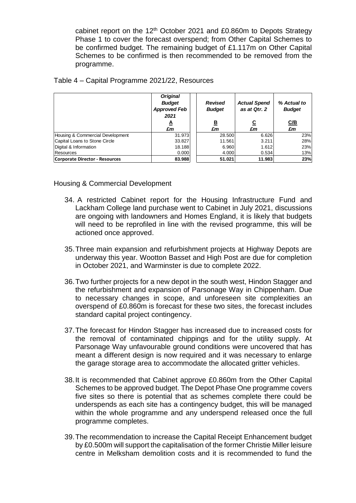cabinet report on the 12<sup>th</sup> October 2021 and £0.860m to Depots Strategy Phase 1 to cover the forecast overspend; from Other Capital Schemes to be confirmed budget. The remaining budget of £1.117m on Other Capital Schemes to be confirmed is then recommended to be removed from the programme.

| Table 4 – Capital Programme 2021/22, Resources |  |  |
|------------------------------------------------|--|--|
|------------------------------------------------|--|--|

|                                  | <b>Original</b><br><b>Budget</b><br><b>Approved Feb</b><br>2021<br>A<br>£m | <b>Revised</b><br><b>Budget</b><br><u>B</u><br>£m | <b>Actual Spend</b><br>as at Qtr. 2<br><u>ତ</u><br>£m | % Actual to<br><b>Budget</b><br><u>C/B</u><br>£m |
|----------------------------------|----------------------------------------------------------------------------|---------------------------------------------------|-------------------------------------------------------|--------------------------------------------------|
| Housing & Commercial Development | 31.973                                                                     | 28.500                                            | 6.626                                                 | 23%                                              |
| Capital Loans to Stone Circle    | 33.827                                                                     | 11.561                                            | 3.211                                                 | 28%                                              |
| Digital & Information            | 18.188                                                                     | 6.960                                             | 1.612                                                 | 23%                                              |
| <b>Resources</b>                 | 0.000                                                                      | 4.000                                             | 0.534                                                 | 13%                                              |
| Corporate Director - Resources   | 83.988                                                                     | 51.021                                            | 11.983                                                | 23%                                              |

Housing & Commercial Development

- 34. A restricted Cabinet report for the Housing Infrastructure Fund and Lackham College land purchase went to Cabinet in July 2021, discussions are ongoing with landowners and Homes England, it is likely that budgets will need to be reprofiled in line with the revised programme, this will be actioned once approved.
- 35.Three main expansion and refurbishment projects at Highway Depots are underway this year. Wootton Basset and High Post are due for completion in October 2021, and Warminster is due to complete 2022.
- 36.Two further projects for a new depot in the south west, Hindon Stagger and the refurbishment and expansion of Parsonage Way in Chippenham. Due to necessary changes in scope, and unforeseen site complexities an overspend of £0.860m is forecast for these two sites, the forecast includes standard capital project contingency.
- 37.The forecast for Hindon Stagger has increased due to increased costs for the removal of contaminated chippings and for the utility supply. At Parsonage Way unfavourable ground conditions were uncovered that has meant a different design is now required and it was necessary to enlarge the garage storage area to accommodate the allocated gritter vehicles.
- 38.It is recommended that Cabinet approve £0.860m from the Other Capital Schemes to be approved budget. The Depot Phase One programme covers five sites so there is potential that as schemes complete there could be underspends as each site has a contingency budget, this will be managed within the whole programme and any underspend released once the full programme completes.
- 39.The recommendation to increase the Capital Receipt Enhancement budget by £0.500m will support the capitalisation of the former Christie Miller leisure centre in Melksham demolition costs and it is recommended to fund the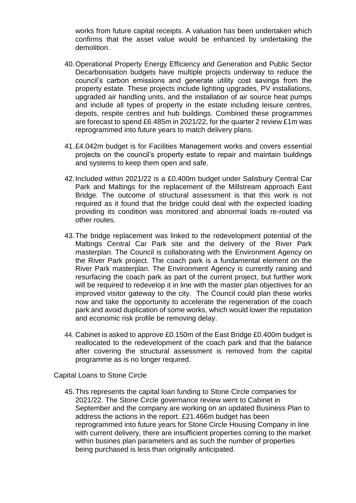works from future capital receipts. A valuation has been undertaken which confirms that the asset value would be enhanced by undertaking the demolition.

- 40.Operational Property Energy Efficiency and Generation and Public Sector Decarbonisation budgets have multiple projects underway to reduce the council's carbon emissions and generate utility cost savings from the property estate. These projects include lighting upgrades, PV installations, upgraded air handling units, and the installation of air source heat pumps and include all types of property in the estate including leisure centres, depots, respite centres and hub buildings. Combined these programmes are forecast to spend £6.485m in 2021/22, for the quarter 2 review £1m was reprogrammed into future years to match delivery plans.
- 41.£4.042m budget is for Facilities Management works and covers essential projects on the council's property estate to repair and maintain buildings and systems to keep them open and safe.
- 42.Included within 2021/22 is a £0.400m budget under Salisbury Central Car Park and Maltings for the replacement of the Millstream approach East Bridge. The outcome of structural assessment is that this work is not required as it found that the bridge could deal with the expected loading providing its condition was monitored and abnormal loads re-routed via other routes.
- 43.The bridge replacement was linked to the redevelopment potential of the Maltings Central Car Park site and the delivery of the River Park masterplan. The Council is collaborating with the Environment Agency on the River Park project. The coach park is a fundamental element on the River Park masterplan. The Environment Agency is currently raising and resurfacing the coach park as part of the current project, but further work will be required to redevelop it in line with the master plan objectives for an improved visitor gateway to the city. The Council could plan these works now and take the opportunity to accelerate the regeneration of the coach park and avoid duplication of some works, which would lower the reputation and economic risk profile be removing delay.
- 44. Cabinet is asked to approve £0.150m of the East Bridge £0.400m budget is reallocated to the redevelopment of the coach park and that the balance after covering the structural assessment is removed from the capital programme as is no longer required.

Capital Loans to Stone Circle

45.This represents the capital loan funding to Stone Circle companies for 2021/22. The Stone Circle governance review went to Cabinet in September and the company are working on an updated Business Plan to address the actions in the report. £21.466m budget has been reprogrammed into future years for Stone Circle Housing Company in line with current delivery, there are insufficient properties coming to the market within busines plan parameters and as such the number of properties being purchased is less than originally anticipated.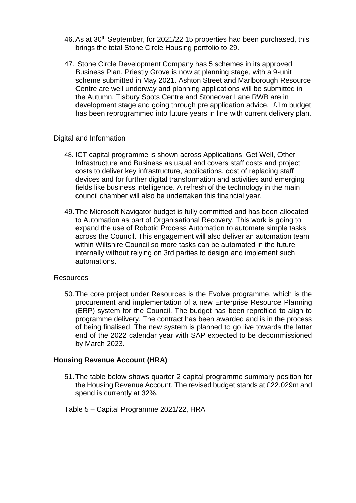- 46. As at 30<sup>th</sup> September, for 2021/22 15 properties had been purchased, this brings the total Stone Circle Housing portfolio to 29.
- 47. Stone Circle Development Company has 5 schemes in its approved Business Plan. Priestly Grove is now at planning stage, with a 9-unit scheme submitted in May 2021. Ashton Street and Marlborough Resource Centre are well underway and planning applications will be submitted in the Autumn. Tisbury Spots Centre and Stoneover Lane RWB are in development stage and going through pre application advice. £1m budget has been reprogrammed into future years in line with current delivery plan.

#### Digital and Information

- 48. ICT capital programme is shown across Applications, Get Well, Other Infrastructure and Business as usual and covers staff costs and project costs to deliver key infrastructure, applications, cost of replacing staff devices and for further digital transformation and activities and emerging fields like business intelligence. A refresh of the technology in the main council chamber will also be undertaken this financial year.
- 49.The Microsoft Navigator budget is fully committed and has been allocated to Automation as part of Organisational Recovery. This work is going to expand the use of Robotic Process Automation to automate simple tasks across the Council. This engagement will also deliver an automation team within Wiltshire Council so more tasks can be automated in the future internally without relying on 3rd parties to design and implement such automations.

#### Resources

50.The core project under Resources is the Evolve programme, which is the procurement and implementation of a new Enterprise Resource Planning (ERP) system for the Council. The budget has been reprofiled to align to programme delivery. The contract has been awarded and is in the process of being finalised. The new system is planned to go live towards the latter end of the 2022 calendar year with SAP expected to be decommissioned by March 2023.

#### **Housing Revenue Account (HRA)**

- 51.The table below shows quarter 2 capital programme summary position for the Housing Revenue Account. The revised budget stands at £22.029m and spend is currently at 32%.
- Table 5 Capital Programme 2021/22, HRA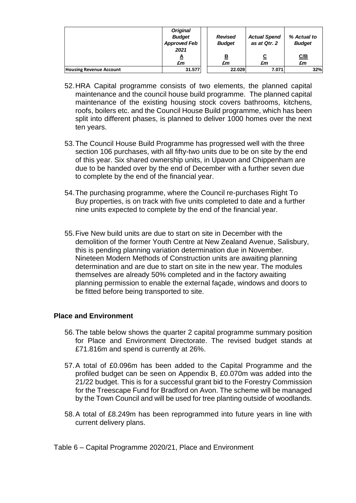|                                | <b>Original</b>     |                |                     |               |
|--------------------------------|---------------------|----------------|---------------------|---------------|
|                                | <b>Budget</b>       | <b>Revised</b> | <b>Actual Spend</b> | % Actual to   |
|                                | <b>Approved Feb</b> | <b>Budget</b>  | as at Qtr. 2        | <b>Budget</b> |
|                                | 2021                |                |                     |               |
|                                | A                   | <u>B</u>       | <u>c</u>            | C/B           |
|                                | £m                  | £m             | £m                  | £m            |
| <b>Housing Revenue Account</b> | 31.577              | 22.029         | 7.071               | 32%           |

- 52.HRA Capital programme consists of two elements, the planned capital maintenance and the council house build programme. The planned capital maintenance of the existing housing stock covers bathrooms, kitchens, roofs, boilers etc. and the Council House Build programme, which has been split into different phases, is planned to deliver 1000 homes over the next ten years.
- 53.The Council House Build Programme has progressed well with the three section 106 purchases, with all fifty-two units due to be on site by the end of this year. Six shared ownership units, in Upavon and Chippenham are due to be handed over by the end of December with a further seven due to complete by the end of the financial year.
- 54.The purchasing programme, where the Council re-purchases Right To Buy properties, is on track with five units completed to date and a further nine units expected to complete by the end of the financial year.
- 55.Five New build units are due to start on site in December with the demolition of the former Youth Centre at New Zealand Avenue, Salisbury, this is pending planning variation determination due in November. Nineteen Modern Methods of Construction units are awaiting planning determination and are due to start on site in the new year. The modules themselves are already 50% completed and in the factory awaiting planning permission to enable the external façade, windows and doors to be fitted before being transported to site.

## **Place and Environment**

- 56.The table below shows the quarter 2 capital programme summary position for Place and Environment Directorate. The revised budget stands at £71.816m and spend is currently at 26%.
- 57.A total of £0.096m has been added to the Capital Programme and the profiled budget can be seen on Appendix B, £0.070m was added into the 21/22 budget. This is for a successful grant bid to the Forestry Commission for the Treescape Fund for Bradford on Avon. The scheme will be managed by the Town Council and will be used for tree planting outside of woodlands.
- 58.A total of £8.249m has been reprogrammed into future years in line with current delivery plans.

Table 6 – Capital Programme 2020/21, Place and Environment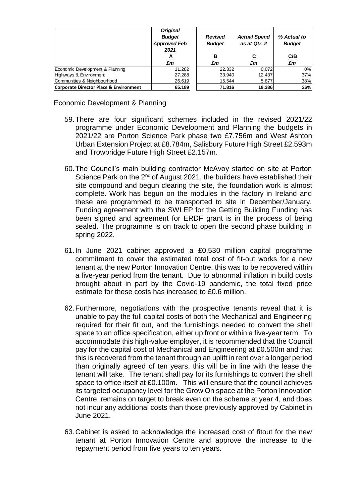|                                        | <b>Original</b><br><b>Budget</b><br><b>Approved Feb</b><br>2021<br>◬<br>£m | <b>Revised</b><br><b>Budget</b><br><u>B</u><br>£m | <b>Actual Spend</b><br>as at Qtr. 2<br><u>c</u><br>£m | % Actual to<br><b>Budget</b><br><u>C/B</u><br>£m |
|----------------------------------------|----------------------------------------------------------------------------|---------------------------------------------------|-------------------------------------------------------|--------------------------------------------------|
| Economic Development & Planning        | 11.282                                                                     | 22.332                                            | 0.072                                                 | 0%                                               |
| Highways & Environment                 | 27.288                                                                     | 33.940                                            | 12.437                                                | 37%                                              |
| Communities & Neighbourhood            | 26.619                                                                     | 15.544                                            | 5.877                                                 | 38%                                              |
| Corporate Director Place & Environment | 65.189                                                                     | 71.816                                            | 18.386                                                | 26%                                              |

Economic Development & Planning

- 59.There are four significant schemes included in the revised 2021/22 programme under Economic Development and Planning the budgets in 2021/22 are Porton Science Park phase two £7.756m and West Ashton Urban Extension Project at £8.784m, Salisbury Future High Street £2.593m and Trowbridge Future High Street £2.157m.
- 60.The Council's main building contractor McAvoy started on site at Porton Science Park on the 2<sup>nd</sup> of August 2021, the builders have established their site compound and begun clearing the site, the foundation work is almost complete. Work has begun on the modules in the factory in Ireland and these are programmed to be transported to site in December/January. Funding agreement with the SWLEP for the Getting Building Funding has been signed and agreement for ERDF grant is in the process of being sealed. The programme is on track to open the second phase building in spring 2022.
- 61.In June 2021 cabinet approved a £0.530 million capital programme commitment to cover the estimated total cost of fit-out works for a new tenant at the new Porton Innovation Centre, this was to be recovered within a five-year period from the tenant. Due to abnormal inflation in build costs brought about in part by the Covid-19 pandemic, the total fixed price estimate for these costs has increased to £0.6 million.
- 62.Furthermore, negotiations with the prospective tenants reveal that it is unable to pay the full capital costs of both the Mechanical and Engineering required for their fit out, and the furnishings needed to convert the shell space to an office specification, either up front or within a five-year term. To accommodate this high-value employer, it is recommended that the Council pay for the capital cost of Mechanical and Engineering at £0.500m and that this is recovered from the tenant through an uplift in rent over a longer period than originally agreed of ten years, this will be in line with the lease the tenant will take. The tenant shall pay for its furnishings to convert the shell space to office itself at £0.100m. This will ensure that the council achieves its targeted occupancy level for the Grow On space at the Porton Innovation Centre, remains on target to break even on the scheme at year 4, and does not incur any additional costs than those previously approved by Cabinet in June 2021.
- 63.Cabinet is asked to acknowledge the increased cost of fitout for the new tenant at Porton Innovation Centre and approve the increase to the repayment period from five years to ten years.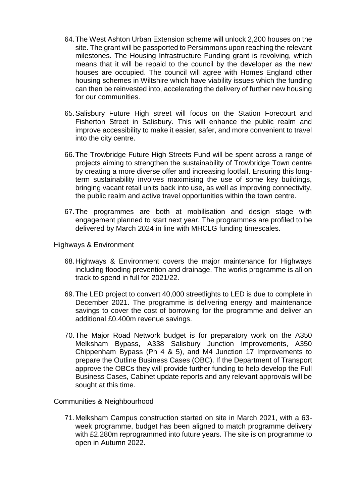- 64.The West Ashton Urban Extension scheme will unlock 2,200 houses on the site. The grant will be passported to Persimmons upon reaching the relevant milestones. The Housing Infrastructure Funding grant is revolving, which means that it will be repaid to the council by the developer as the new houses are occupied. The council will agree with Homes England other housing schemes in Wiltshire which have viability issues which the funding can then be reinvested into, accelerating the delivery of further new housing for our communities.
- 65.Salisbury Future High street will focus on the Station Forecourt and Fisherton Street in Salisbury. This will enhance the public realm and improve accessibility to make it easier, safer, and more convenient to travel into the city centre.
- 66.The Trowbridge Future High Streets Fund will be spent across a range of projects aiming to strengthen the sustainability of Trowbridge Town centre by creating a more diverse offer and increasing footfall. Ensuring this longterm sustainability involves maximising the use of some key buildings, bringing vacant retail units back into use, as well as improving connectivity, the public realm and active travel opportunities within the town centre.
- 67.The programmes are both at mobilisation and design stage with engagement planned to start next year. The programmes are profiled to be delivered by March 2024 in line with MHCLG funding timescales.

Highways & Environment

- 68.Highways & Environment covers the major maintenance for Highways including flooding prevention and drainage. The works programme is all on track to spend in full for 2021/22.
- 69.The LED project to convert 40,000 streetlights to LED is due to complete in December 2021. The programme is delivering energy and maintenance savings to cover the cost of borrowing for the programme and deliver an additional £0.400m revenue savings.
- 70.The Major Road Network budget is for preparatory work on the A350 Melksham Bypass, A338 Salisbury Junction Improvements, A350 Chippenham Bypass (Ph 4 & 5), and M4 Junction 17 Improvements to prepare the Outline Business Cases (OBC). If the Department of Transport approve the OBCs they will provide further funding to help develop the Full Business Cases, Cabinet update reports and any relevant approvals will be sought at this time.

Communities & Neighbourhood

71.Melksham Campus construction started on site in March 2021, with a 63 week programme, budget has been aligned to match programme delivery with £2.280m reprogrammed into future years. The site is on programme to open in Autumn 2022.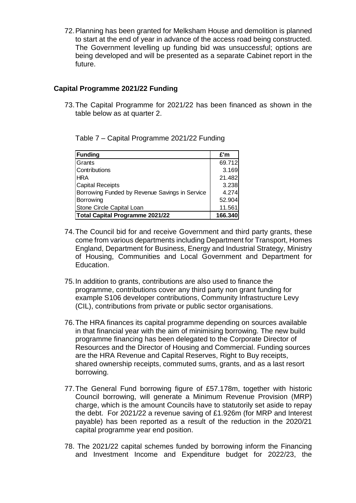72.Planning has been granted for Melksham House and demolition is planned to start at the end of year in advance of the access road being constructed. The Government levelling up funding bid was unsuccessful; options are being developed and will be presented as a separate Cabinet report in the future.

# **Capital Programme 2021/22 Funding**

73.The Capital Programme for 2021/22 has been financed as shown in the table below as at quarter 2.

**Funding £'m** Grants 69.712 Contributions 3.169 HRA 21.482 Capital Receipts **3.238** Borrowing Funded by Revenue Savings in Service | 4.274 Borrowing **62.904** Stone Circle Capital Loan 11.561 **Total Capital Programme 2021/22 166.340**

Table 7 – Capital Programme 2021/22 Funding

- 74.The Council bid for and receive Government and third party grants, these come from various departments including Department for Transport, Homes England, Department for Business, Energy and Industrial Strategy, Ministry of Housing, Communities and Local Government and Department for Education.
- 75.In addition to grants, contributions are also used to finance the programme, contributions cover any third party non grant funding for example S106 developer contributions, Community Infrastructure Levy (CIL), contributions from private or public sector organisations.
- 76.The HRA finances its capital programme depending on sources available in that financial year with the aim of minimising borrowing. The new build programme financing has been delegated to the Corporate Director of Resources and the Director of Housing and Commercial. Funding sources are the HRA Revenue and Capital Reserves, Right to Buy receipts, shared ownership receipts, commuted sums, grants, and as a last resort borrowing.
- 77.The General Fund borrowing figure of £57.178m, together with historic Council borrowing, will generate a Minimum Revenue Provision (MRP) charge, which is the amount Councils have to statutorily set aside to repay the debt. For 2021/22 a revenue saving of £1.926m (for MRP and Interest payable) has been reported as a result of the reduction in the 2020/21 capital programme year end position.
- 78. The 2021/22 capital schemes funded by borrowing inform the Financing and Investment Income and Expenditure budget for 2022/23, the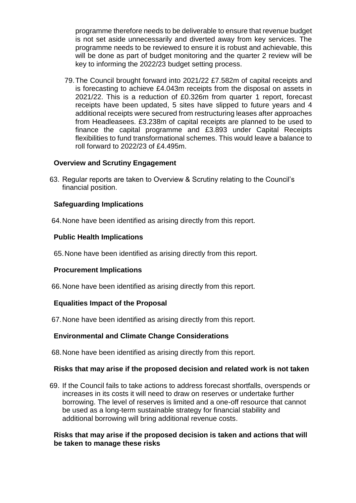programme therefore needs to be deliverable to ensure that revenue budget is not set aside unnecessarily and diverted away from key services. The programme needs to be reviewed to ensure it is robust and achievable, this will be done as part of budget monitoring and the quarter 2 review will be key to informing the 2022/23 budget setting process.

79.The Council brought forward into 2021/22 £7.582m of capital receipts and is forecasting to achieve £4.043m receipts from the disposal on assets in 2021/22. This is a reduction of £0.326m from quarter 1 report, forecast receipts have been updated, 5 sites have slipped to future years and 4 additional receipts were secured from restructuring leases after approaches from Headleasees. £3.238m of capital receipts are planned to be used to finance the capital programme and £3.893 under Capital Receipts flexibilities to fund transformational schemes. This would leave a balance to roll forward to 2022/23 of £4.495m.

## **Overview and Scrutiny Engagement**

63. Regular reports are taken to Overview & Scrutiny relating to the Council's financial position.

# **Safeguarding Implications**

64.None have been identified as arising directly from this report.

# **Public Health Implications**

65.None have been identified as arising directly from this report.

# **Procurement Implications**

66.None have been identified as arising directly from this report.

# **Equalities Impact of the Proposal**

67.None have been identified as arising directly from this report.

# **Environmental and Climate Change Considerations**

68.None have been identified as arising directly from this report.

## **Risks that may arise if the proposed decision and related work is not taken**

69. If the Council fails to take actions to address forecast shortfalls, overspends or increases in its costs it will need to draw on reserves or undertake further borrowing. The level of reserves is limited and a one-off resource that cannot be used as a long-term sustainable strategy for financial stability and additional borrowing will bring additional revenue costs.

## **Risks that may arise if the proposed decision is taken and actions that will be taken to manage these risks**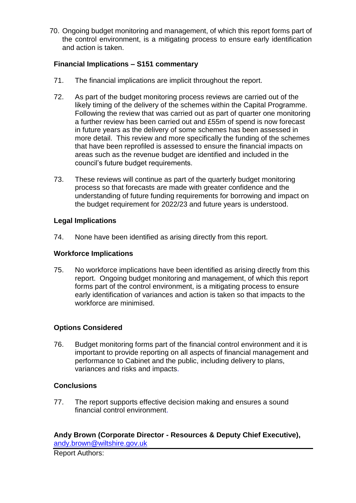70. Ongoing budget monitoring and management, of which this report forms part of the control environment, is a mitigating process to ensure early identification and action is taken.

# **Financial Implications – S151 commentary**

- 71. The financial implications are implicit throughout the report.
- 72. As part of the budget monitoring process reviews are carried out of the likely timing of the delivery of the schemes within the Capital Programme. Following the review that was carried out as part of quarter one monitoring a further review has been carried out and £55m of spend is now forecast in future years as the delivery of some schemes has been assessed in more detail. This review and more specifically the funding of the schemes that have been reprofiled is assessed to ensure the financial impacts on areas such as the revenue budget are identified and included in the council's future budget requirements.
- 73. These reviews will continue as part of the quarterly budget monitoring process so that forecasts are made with greater confidence and the understanding of future funding requirements for borrowing and impact on the budget requirement for 2022/23 and future years is understood.

# **Legal Implications**

74. None have been identified as arising directly from this report.

## **Workforce Implications**

75. No workforce implications have been identified as arising directly from this report. Ongoing budget monitoring and management, of which this report forms part of the control environment, is a mitigating process to ensure early identification of variances and action is taken so that impacts to the workforce are minimised.

# **Options Considered**

76. Budget monitoring forms part of the financial control environment and it is important to provide reporting on all aspects of financial management and performance to Cabinet and the public, including delivery to plans, variances and risks and impacts.

# **Conclusions**

77. The report supports effective decision making and ensures a sound financial control environment.